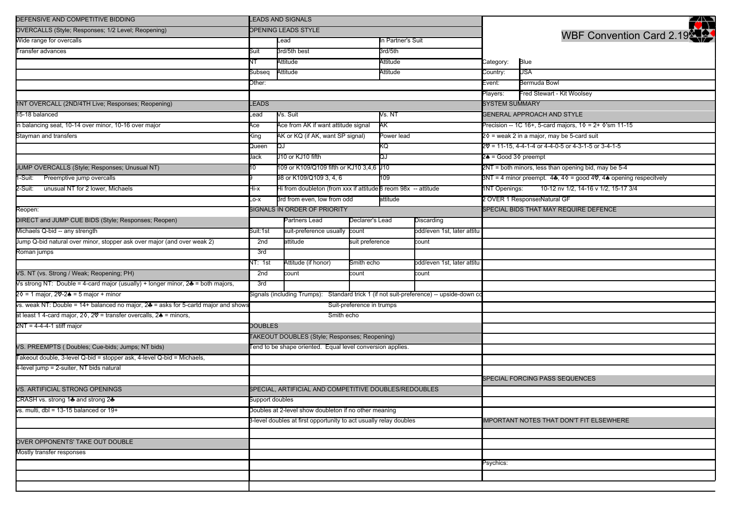| DEFENSIVE AND COMPETITIVE BIDDING                                                                 | <b>LEADS AND SIGNALS</b>                                                                |                                                                      |                               |                   |                            |                                                            | 邻                                                                                                           |  |
|---------------------------------------------------------------------------------------------------|-----------------------------------------------------------------------------------------|----------------------------------------------------------------------|-------------------------------|-------------------|----------------------------|------------------------------------------------------------|-------------------------------------------------------------------------------------------------------------|--|
| OVERCALLS (Style; Responses; 1/2 Level; Reopening)                                                | OPENING LEADS STYLE                                                                     |                                                                      |                               |                   |                            |                                                            | WBF Convention Card 2.19                                                                                    |  |
| Wide range for overcalls                                                                          |                                                                                         | Lead                                                                 |                               | In Partner's Suit |                            |                                                            |                                                                                                             |  |
| Transfer advances                                                                                 | Suit                                                                                    | 3rd/5th best                                                         |                               | 3rd/5th           |                            |                                                            |                                                                                                             |  |
|                                                                                                   |                                                                                         | Attitude                                                             |                               | Attitude          |                            | Category:                                                  | Blue                                                                                                        |  |
|                                                                                                   | Subseq                                                                                  | Attitude                                                             |                               | Attitude          |                            | Country:                                                   | USA                                                                                                         |  |
|                                                                                                   | Other:                                                                                  |                                                                      |                               |                   |                            | Event:                                                     | Bermuda Bowl                                                                                                |  |
|                                                                                                   |                                                                                         |                                                                      |                               |                   |                            | Players:                                                   | Fred Stewart - Kit Woolsey                                                                                  |  |
| 1NT OVERCALL (2ND/4TH Live; Responses; Reopening)                                                 | <b>EADS</b>                                                                             |                                                                      |                               |                   |                            | <b>SYSTEM SUMMARY</b>                                      |                                                                                                             |  |
| 15-18 balanced                                                                                    | Vs. Suit<br>-ead                                                                        |                                                                      |                               | Vs. NT            |                            |                                                            | <b>GENERAL APPROACH AND STYLE</b>                                                                           |  |
| in balancing seat, 10-14 over minor, 10-16 over major                                             | Ace                                                                                     | Ace from AK if want attitude signal                                  |                               | AK                |                            | Precision -- 1C 16+, 5-card majors, $10 = 2 + 0$ 'sm 11-15 |                                                                                                             |  |
| Stayman and transfers                                                                             | King                                                                                    | AK or KQ (if AK, want SP signal)                                     |                               | Power lead        |                            |                                                            | 2¢ = weak 2 in a major, may be 5-card suit                                                                  |  |
|                                                                                                   | Queen                                                                                   | QJ                                                                   |                               | KQ                |                            | 20 = 11-15, 4-4-1-4 or 4-4-0-5 or 4-3-1-5 or 3-4-1-5       |                                                                                                             |  |
|                                                                                                   | Jack                                                                                    | J10 or KJ10 fifth                                                    |                               | Ğ                 |                            | 2♠ = Good 3♦ preempt                                       |                                                                                                             |  |
| JUMP OVERCALLS (Style; Responses; Unusual NT)                                                     | 10                                                                                      | 109 or K109/Q109 fifth or KJ10 3,4,6 J10                             |                               |                   |                            |                                                            | 2NT = both minors, less than opening bid, may be 5-4                                                        |  |
| 1-Suit: Preemptive jump overcalls                                                                 |                                                                                         | 98 or K109/Q109 3, 4, 6                                              |                               | 109               |                            |                                                            | 3NT = 4 minor preempt. $4\clubsuit$ , $4\diamond$ = good $4\heartsuit$ , $4\spadesuit$ opening respecitvely |  |
| 2-Suit:<br>unusual NT for 2 lower, Michaels                                                       | Hi-x                                                                                    | Hi from doubleton (from xxx if attitude $\beta$ reom 98x -- attitude |                               |                   |                            | <b>INT Openings:</b>                                       | 10-12 nv 1/2, 14-16 v 1/2, 15-17 3/4                                                                        |  |
|                                                                                                   | $-0-X$                                                                                  | 3rd from even, low from odd                                          |                               | attitude          |                            |                                                            | 2 OVER 1 ResponsesNatural GF                                                                                |  |
| Reopen:                                                                                           |                                                                                         | SIGNALS IN ORDER OF PRIORITY                                         |                               |                   |                            |                                                            | SPECIAL BIDS THAT MAY REQUIRE DEFENCE                                                                       |  |
| DIRECT and JUMP CUE BIDS (Style; Responses; Reopen)                                               |                                                                                         | Partners Lead                                                        | Declarer's Lead<br>Discarding |                   |                            |                                                            |                                                                                                             |  |
| Michaels Q-bid -- any strength                                                                    | Suit:1st                                                                                | suit-preference usually<br>count                                     |                               |                   | odd/even 1st, later attitu |                                                            |                                                                                                             |  |
| Jump Q-bid natural over minor, stopper ask over major (and over weak 2)                           | 2nd                                                                                     | attitude                                                             | suit preference               |                   | count                      |                                                            |                                                                                                             |  |
| Roman jumps                                                                                       |                                                                                         |                                                                      |                               |                   |                            |                                                            |                                                                                                             |  |
|                                                                                                   | NT: 1st                                                                                 | Attitude (if honor)                                                  | Smith echo                    |                   | odd/even 1st, later attitu |                                                            |                                                                                                             |  |
| VS. NT (vs. Strong / Weak; Reopening; PH)                                                         | 2nd                                                                                     | count<br>count                                                       |                               | count             |                            |                                                            |                                                                                                             |  |
| Vs strong NT: Double = 4-card major (usually) + longer minor, 2 = both majors,                    | 3rd                                                                                     |                                                                      |                               |                   |                            |                                                            |                                                                                                             |  |
| 2 0 = 1 major, 2 0 - 2 <del>4</del> = 5 major + minor                                             | Signals (including Trumps): Standard trick 1 (if not suit-preference) -- upside-down co |                                                                      |                               |                   |                            |                                                            |                                                                                                             |  |
| vs. weak NT: Double = 14+ balanced no major, 2♣ = asks for 5-cartd major and shows                | Suit-preference in trumps                                                               |                                                                      |                               |                   |                            |                                                            |                                                                                                             |  |
| at least 1 4-card major, 2 $\lozenge$ , 2 $\lozenge$ = transfer overcalls, 2 $\lozenge$ = minors, | Smith echo                                                                              |                                                                      |                               |                   |                            |                                                            |                                                                                                             |  |
| $2NT = 4-4-4-1$ stiff major                                                                       | <b>DOUBLES</b><br><b>TAKEOUT DOUBLES (Style; Responses; Reopening)</b>                  |                                                                      |                               |                   |                            |                                                            |                                                                                                             |  |
|                                                                                                   |                                                                                         |                                                                      |                               |                   |                            |                                                            |                                                                                                             |  |
| VS. PREEMPTS (Doubles; Cue-bids; Jumps; NT bids)                                                  | Tend to be shape oriented. Equal level conversion applies.                              |                                                                      |                               |                   |                            |                                                            |                                                                                                             |  |
| Takeout double, 3-level Q-bid = stopper ask, 4-level Q-bid = Michaels,                            |                                                                                         |                                                                      |                               |                   |                            |                                                            |                                                                                                             |  |
| 4-level jump = 2-suiter, NT bids natural                                                          |                                                                                         |                                                                      |                               |                   |                            |                                                            |                                                                                                             |  |
|                                                                                                   |                                                                                         |                                                                      |                               |                   |                            |                                                            | SPECIAL FORCING PASS SEQUENCES                                                                              |  |
| VS. ARTIFICIAL STRONG OPENINGS                                                                    | SPECIAL, ARTIFICIAL AND COMPETITIVE DOUBLES/REDOUBLES                                   |                                                                      |                               |                   |                            |                                                            |                                                                                                             |  |
| CRASH vs. strong 1♣ and strong 2♣                                                                 | Support doubles                                                                         |                                                                      |                               |                   |                            |                                                            |                                                                                                             |  |
| vs. multi, dbl = 13-15 balanced or $19+$                                                          | Doubles at 2-level show doubleton if no other meaning                                   |                                                                      |                               |                   |                            |                                                            |                                                                                                             |  |
|                                                                                                   | 3-level doubles at first opportunity to act usually relay doubles                       |                                                                      |                               |                   |                            |                                                            | <b>IMPORTANT NOTES THAT DON'T FIT ELSEWHERE</b>                                                             |  |
|                                                                                                   |                                                                                         |                                                                      |                               |                   |                            |                                                            |                                                                                                             |  |
| OVER OPPONENTS' TAKE OUT DOUBLE                                                                   |                                                                                         |                                                                      |                               |                   |                            |                                                            |                                                                                                             |  |
| Mostly transfer responses                                                                         |                                                                                         |                                                                      |                               |                   |                            |                                                            |                                                                                                             |  |
|                                                                                                   |                                                                                         |                                                                      |                               |                   |                            | Psychics:                                                  |                                                                                                             |  |
|                                                                                                   |                                                                                         |                                                                      |                               |                   |                            |                                                            |                                                                                                             |  |
|                                                                                                   |                                                                                         |                                                                      |                               |                   |                            |                                                            |                                                                                                             |  |